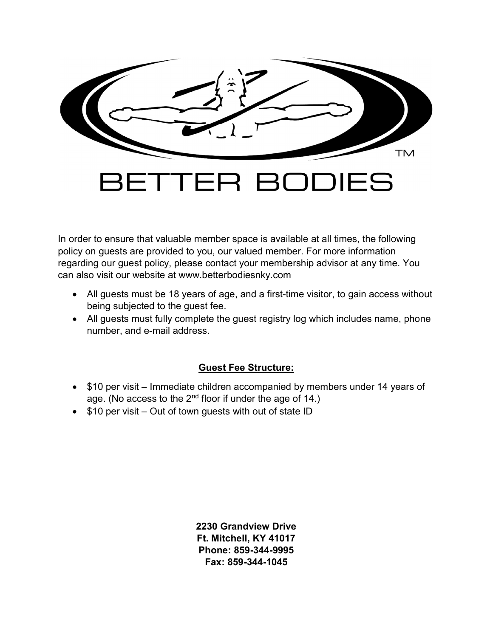

In order to ensure that valuable member space is available at all times, the following policy on guests are provided to you, our valued member. For more information regarding our guest policy, please contact your membership advisor at any time. You can also visit our website at www.betterbodiesnky.com

- All guests must be 18 years of age, and a first-time visitor, to gain access without being subjected to the guest fee.
- All guests must fully complete the guest registry log which includes name, phone number, and e-mail address.

## Guest Fee Structure:

- \$10 per visit Immediate children accompanied by members under 14 years of age. (No access to the 2nd floor if under the age of 14.)
- $\bullet$  \$10 per visit Out of town guests with out of state ID

2230 Grandview Drive Ft. Mitchell, KY 41017 Phone: 859-344-9995 Fax: 859-344-1045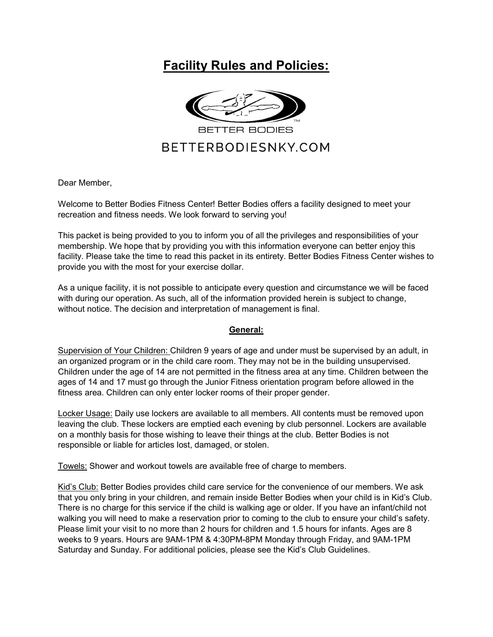# Facility Rules and Policies:



Dear Member,

Welcome to Better Bodies Fitness Center! Better Bodies offers a facility designed to meet your recreation and fitness needs. We look forward to serving you!

This packet is being provided to you to inform you of all the privileges and responsibilities of your membership. We hope that by providing you with this information everyone can better enjoy this facility. Please take the time to read this packet in its entirety. Better Bodies Fitness Center wishes to provide you with the most for your exercise dollar.

As a unique facility, it is not possible to anticipate every question and circumstance we will be faced with during our operation. As such, all of the information provided herein is subject to change, without notice. The decision and interpretation of management is final.

## General:

Supervision of Your Children: Children 9 years of age and under must be supervised by an adult, in an organized program or in the child care room. They may not be in the building unsupervised. Children under the age of 14 are not permitted in the fitness area at any time. Children between the ages of 14 and 17 must go through the Junior Fitness orientation program before allowed in the fitness area. Children can only enter locker rooms of their proper gender.

Locker Usage: Daily use lockers are available to all members. All contents must be removed upon leaving the club. These lockers are emptied each evening by club personnel. Lockers are available on a monthly basis for those wishing to leave their things at the club. Better Bodies is not responsible or liable for articles lost, damaged, or stolen.

Towels: Shower and workout towels are available free of charge to members.

Kid's Club: Better Bodies provides child care service for the convenience of our members. We ask that you only bring in your children, and remain inside Better Bodies when your child is in Kid's Club. There is no charge for this service if the child is walking age or older. If you have an infant/child not walking you will need to make a reservation prior to coming to the club to ensure your child's safety. Please limit your visit to no more than 2 hours for children and 1.5 hours for infants. Ages are 8 weeks to 9 years. Hours are 9AM-1PM & 4:30PM-8PM Monday through Friday, and 9AM-1PM Saturday and Sunday. For additional policies, please see the Kid's Club Guidelines.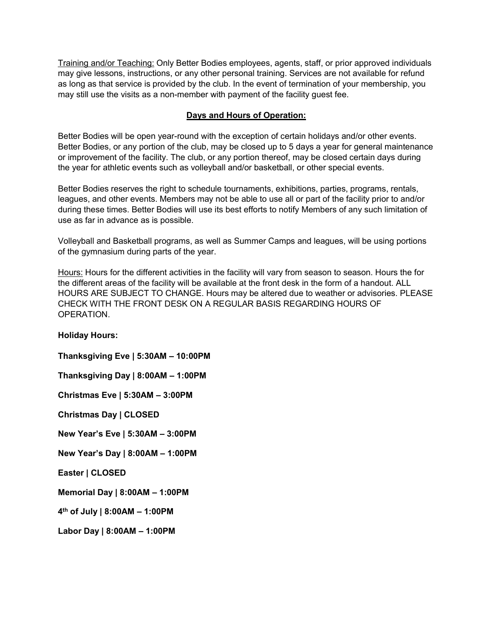Training and/or Teaching: Only Better Bodies employees, agents, staff, or prior approved individuals may give lessons, instructions, or any other personal training. Services are not available for refund as long as that service is provided by the club. In the event of termination of your membership, you may still use the visits as a non-member with payment of the facility guest fee.

### Days and Hours of Operation:

Better Bodies will be open year-round with the exception of certain holidays and/or other events. Better Bodies, or any portion of the club, may be closed up to 5 days a year for general maintenance or improvement of the facility. The club, or any portion thereof, may be closed certain days during the year for athletic events such as volleyball and/or basketball, or other special events.

Better Bodies reserves the right to schedule tournaments, exhibitions, parties, programs, rentals, leagues, and other events. Members may not be able to use all or part of the facility prior to and/or during these times. Better Bodies will use its best efforts to notify Members of any such limitation of use as far in advance as is possible.

Volleyball and Basketball programs, as well as Summer Camps and leagues, will be using portions of the gymnasium during parts of the year.

Hours: Hours for the different activities in the facility will vary from season to season. Hours the for the different areas of the facility will be available at the front desk in the form of a handout. ALL HOURS ARE SUBJECT TO CHANGE. Hours may be altered due to weather or advisories. PLEASE CHECK WITH THE FRONT DESK ON A REGULAR BASIS REGARDING HOURS OF OPERATION.

#### Holiday Hours:

Thanksgiving Eve | 5:30AM – 10:00PM Thanksgiving Day | 8:00AM – 1:00PM Christmas Eve | 5:30AM – 3:00PM Christmas Day | CLOSED New Year's Eve | 5:30AM – 3:00PM New Year's Day | 8:00AM – 1:00PM Easter | CLOSED Memorial Day | 8:00AM – 1:00PM 4 th of July | 8:00AM – 1:00PM Labor Day | 8:00AM – 1:00PM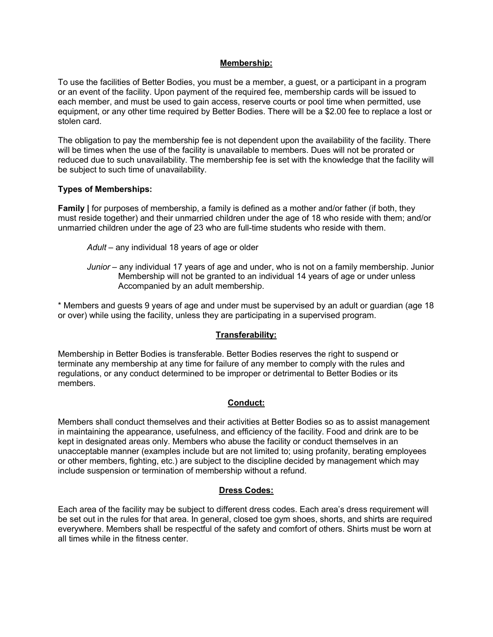#### Membership:

To use the facilities of Better Bodies, you must be a member, a guest, or a participant in a program or an event of the facility. Upon payment of the required fee, membership cards will be issued to each member, and must be used to gain access, reserve courts or pool time when permitted, use equipment, or any other time required by Better Bodies. There will be a \$2.00 fee to replace a lost or stolen card.

The obligation to pay the membership fee is not dependent upon the availability of the facility. There will be times when the use of the facility is unavailable to members. Dues will not be prorated or reduced due to such unavailability. The membership fee is set with the knowledge that the facility will be subject to such time of unavailability.

#### Types of Memberships:

Family | for purposes of membership, a family is defined as a mother and/or father (if both, they must reside together) and their unmarried children under the age of 18 who reside with them; and/or unmarried children under the age of 23 who are full-time students who reside with them.

- Adult any individual 18 years of age or older
- Junior any individual 17 years of age and under, who is not on a family membership. Junior Membership will not be granted to an individual 14 years of age or under unless Accompanied by an adult membership.

\* Members and guests 9 years of age and under must be supervised by an adult or guardian (age 18 or over) while using the facility, unless they are participating in a supervised program.

#### Transferability:

Membership in Better Bodies is transferable. Better Bodies reserves the right to suspend or terminate any membership at any time for failure of any member to comply with the rules and regulations, or any conduct determined to be improper or detrimental to Better Bodies or its members.

#### Conduct:

Members shall conduct themselves and their activities at Better Bodies so as to assist management in maintaining the appearance, usefulness, and efficiency of the facility. Food and drink are to be kept in designated areas only. Members who abuse the facility or conduct themselves in an unacceptable manner (examples include but are not limited to; using profanity, berating employees or other members, fighting, etc.) are subject to the discipline decided by management which may include suspension or termination of membership without a refund.

#### Dress Codes:

Each area of the facility may be subject to different dress codes. Each area's dress requirement will be set out in the rules for that area. In general, closed toe gym shoes, shorts, and shirts are required everywhere. Members shall be respectful of the safety and comfort of others. Shirts must be worn at all times while in the fitness center.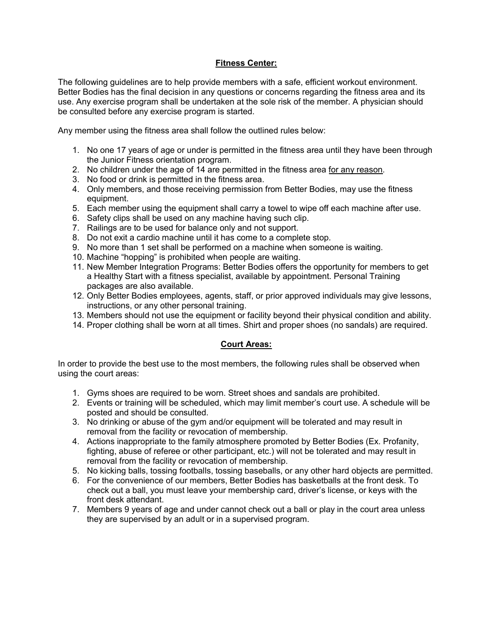#### Fitness Center:

The following guidelines are to help provide members with a safe, efficient workout environment. Better Bodies has the final decision in any questions or concerns regarding the fitness area and its use. Any exercise program shall be undertaken at the sole risk of the member. A physician should be consulted before any exercise program is started.

Any member using the fitness area shall follow the outlined rules below:

- 1. No one 17 years of age or under is permitted in the fitness area until they have been through the Junior Fitness orientation program.
- 2. No children under the age of 14 are permitted in the fitness area for any reason.
- 3. No food or drink is permitted in the fitness area.
- 4. Only members, and those receiving permission from Better Bodies, may use the fitness equipment.
- 5. Each member using the equipment shall carry a towel to wipe off each machine after use.
- 6. Safety clips shall be used on any machine having such clip.
- 7. Railings are to be used for balance only and not support.
- 8. Do not exit a cardio machine until it has come to a complete stop.
- 9. No more than 1 set shall be performed on a machine when someone is waiting.
- 10. Machine "hopping" is prohibited when people are waiting.
- 11. New Member Integration Programs: Better Bodies offers the opportunity for members to get a Healthy Start with a fitness specialist, available by appointment. Personal Training packages are also available.
- 12. Only Better Bodies employees, agents, staff, or prior approved individuals may give lessons, instructions, or any other personal training.
- 13. Members should not use the equipment or facility beyond their physical condition and ability.
- 14. Proper clothing shall be worn at all times. Shirt and proper shoes (no sandals) are required.

## Court Areas:

In order to provide the best use to the most members, the following rules shall be observed when using the court areas:

- 1. Gyms shoes are required to be worn. Street shoes and sandals are prohibited.
- 2. Events or training will be scheduled, which may limit member's court use. A schedule will be posted and should be consulted.
- 3. No drinking or abuse of the gym and/or equipment will be tolerated and may result in removal from the facility or revocation of membership.
- 4. Actions inappropriate to the family atmosphere promoted by Better Bodies (Ex. Profanity, fighting, abuse of referee or other participant, etc.) will not be tolerated and may result in removal from the facility or revocation of membership.
- 5. No kicking balls, tossing footballs, tossing baseballs, or any other hard objects are permitted.
- 6. For the convenience of our members, Better Bodies has basketballs at the front desk. To check out a ball, you must leave your membership card, driver's license, or keys with the front desk attendant.
- 7. Members 9 years of age and under cannot check out a ball or play in the court area unless they are supervised by an adult or in a supervised program.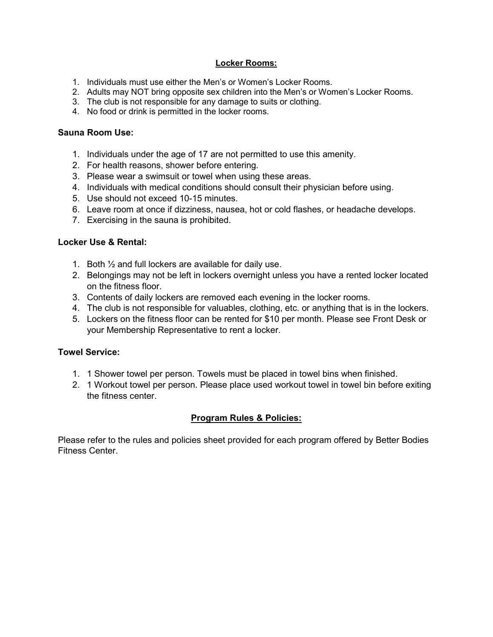### Locker Rooms:

- 1. Individuals must use either the Men's or Women's Locker Rooms.
- 2. Adults may NOT bring opposite sex children into the Men's or Women's Locker Rooms.
- 3. The club is not responsible for any damage to suits or clothing.
- 4. No food or drink is permitted in the locker rooms.

### Sauna Room Use:

- 1. Individuals under the age of 17 are not permitted to use this amenity.
- 2. For health reasons, shower before entering.
- 3. Please wear a swimsuit or towel when using these areas.
- 4. Individuals with medical conditions should consult their physician before using.
- 5. Use should not exceed 10-15 minutes.
- 6. Leave room at once if dizziness, nausea, hot or cold flashes, or headache develops.
- 7. Exercising in the sauna is prohibited.

#### Locker Use & Rental:

- 1. Both ½ and full lockers are available for daily use.
- 2. Belongings may not be left in lockers overnight unless you have a rented locker located on the fitness floor.
- 3. Contents of daily lockers are removed each evening in the locker rooms.
- 4. The club is not responsible for valuables, clothing, etc. or anything that is in the lockers.
- 5. Lockers on the fitness floor can be rented for \$10 per month. Please see Front Desk or your Membership Representative to rent a locker.

## Towel Service:

- 1. 1 Shower towel per person. Towels must be placed in towel bins when finished.
- 2. 1 Workout towel per person. Please place used workout towel in towel bin before exiting the fitness center.

## Program Rules & Policies:

Please refer to the rules and policies sheet provided for each program offered by Better Bodies Fitness Center.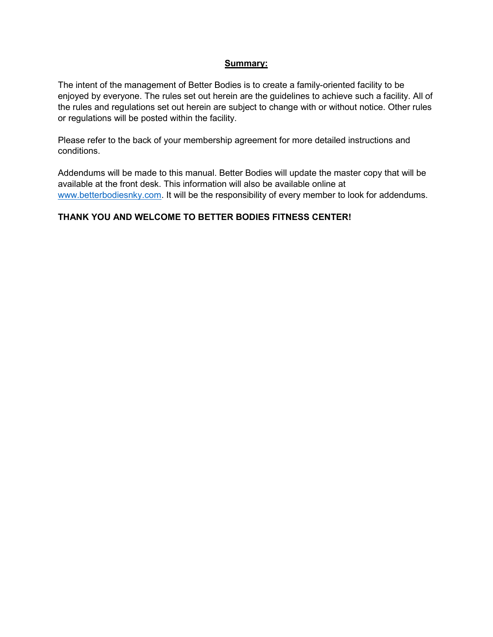#### Summary:

The intent of the management of Better Bodies is to create a family-oriented facility to be enjoyed by everyone. The rules set out herein are the guidelines to achieve such a facility. All of the rules and regulations set out herein are subject to change with or without notice. Other rules or regulations will be posted within the facility.

Please refer to the back of your membership agreement for more detailed instructions and conditions.

Addendums will be made to this manual. Better Bodies will update the master copy that will be available at the front desk. This information will also be available online at www.betterbodiesnky.com. It will be the responsibility of every member to look for addendums.

## THANK YOU AND WELCOME TO BETTER BODIES FITNESS CENTER!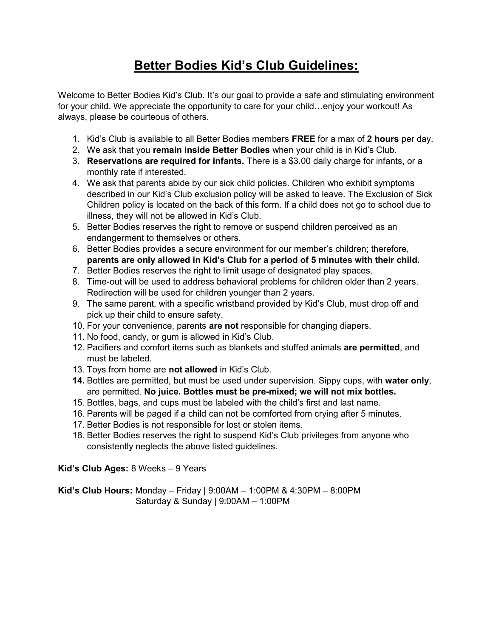# Better Bodies Kid's Club Guidelines:

Welcome to Better Bodies Kid's Club. It's our goal to provide a safe and stimulating environment for your child. We appreciate the opportunity to care for your child…enjoy your workout! As always, please be courteous of others.

- 1. Kid's Club is available to all Better Bodies members FREE for a max of 2 hours per day.
- 2. We ask that you remain inside Better Bodies when your child is in Kid's Club.
- 3. Reservations are required for infants. There is a \$3.00 daily charge for infants, or a monthly rate if interested.
- 4. We ask that parents abide by our sick child policies. Children who exhibit symptoms described in our Kid's Club exclusion policy will be asked to leave. The Exclusion of Sick Children policy is located on the back of this form. If a child does not go to school due to illness, they will not be allowed in Kid's Club.
- 5. Better Bodies reserves the right to remove or suspend children perceived as an endangerment to themselves or others.
- 6. Better Bodies provides a secure environment for our member's children; therefore, parents are only allowed in Kid's Club for a period of 5 minutes with their child.
- 7. Better Bodies reserves the right to limit usage of designated play spaces.
- 8. Time-out will be used to address behavioral problems for children older than 2 years. Redirection will be used for children younger than 2 years.
- 9. The same parent, with a specific wristband provided by Kid's Club, must drop off and pick up their child to ensure safety.
- 10. For your convenience, parents are not responsible for changing diapers.
- 11. No food, candy, or gum is allowed in Kid's Club.
- 12. Pacifiers and comfort items such as blankets and stuffed animals are permitted, and must be labeled.
- 13. Toys from home are not allowed in Kid's Club.
- 14. Bottles are permitted, but must be used under supervision. Sippy cups, with water only, are permitted. No juice. Bottles must be pre-mixed; we will not mix bottles.
- 15. Bottles, bags, and cups must be labeled with the child's first and last name.
- 16. Parents will be paged if a child can not be comforted from crying after 5 minutes.
- 17. Better Bodies is not responsible for lost or stolen items.
- 18. Better Bodies reserves the right to suspend Kid's Club privileges from anyone who consistently neglects the above listed guidelines.

## Kid's Club Ages: 8 Weeks – 9 Years

**Kid's Club Hours:** Monday – Friday |  $9:00AM - 1:00PM$  &  $4:30PM - 8:00PM$ Saturday & Sunday | 9:00AM – 1:00PM